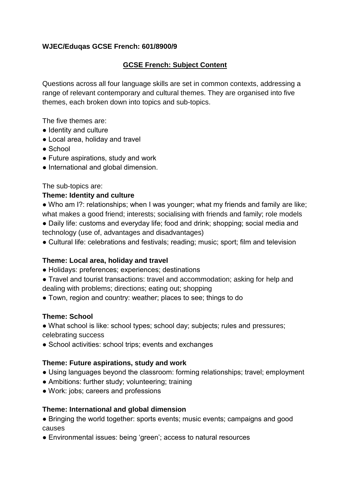### **WJEC/Eduqas GCSE French: 601/8900/9**

## **GCSE French: Subject Content**

Questions across all four language skills are set in common contexts, addressing a range of relevant contemporary and cultural themes. They are organised into five themes, each broken down into topics and sub-topics.

The five themes are:

- Identity and culture
- Local area, holiday and travel
- School
- Future aspirations, study and work
- International and global dimension.

The sub-topics are:

#### **Theme: Identity and culture**

• Who am I?: relationships; when I was younger; what my friends and family are like; what makes a good friend; interests; socialising with friends and family; role models

● Daily life: customs and everyday life; food and drink; shopping; social media and technology (use of, advantages and disadvantages)

● Cultural life: celebrations and festivals; reading; music; sport; film and television

### **Theme: Local area, holiday and travel**

- Holidays: preferences; experiences; destinations
- Travel and tourist transactions: travel and accommodation; asking for help and dealing with problems; directions; eating out; shopping
- Town, region and country: weather; places to see; things to do

### **Theme: School**

• What school is like: school types; school day; subjects; rules and pressures; celebrating success

• School activities: school trips; events and exchanges

### **Theme: Future aspirations, study and work**

- Using languages beyond the classroom: forming relationships; travel; employment
- Ambitions: further study; volunteering; training
- Work: jobs; careers and professions

### **Theme: International and global dimension**

• Bringing the world together: sports events; music events; campaigns and good causes

● Environmental issues: being 'green'; access to natural resources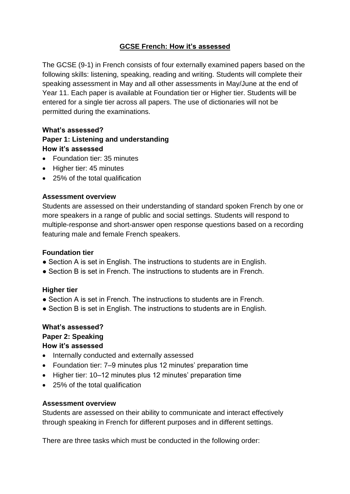# **GCSE French: How it's assessed**

The GCSE (9-1) in French consists of four externally examined papers based on the following skills: listening, speaking, reading and writing. Students will complete their speaking assessment in May and all other assessments in May/June at the end of Year 11. Each paper is available at Foundation tier or Higher tier. Students will be entered for a single tier across all papers. The use of dictionaries will not be permitted during the examinations.

#### **What's assessed?**

# **Paper 1: Listening and understanding How it's assessed**

- Foundation tier: 35 minutes
- Higher tier: 45 minutes
- 25% of the total qualification

### **Assessment overview**

Students are assessed on their understanding of standard spoken French by one or more speakers in a range of public and social settings. Students will respond to multiple-response and short-answer open response questions based on a recording featuring male and female French speakers.

### **Foundation tier**

- Section A is set in English. The instructions to students are in English.
- Section B is set in French. The instructions to students are in French.

# **Higher tier**

- Section A is set in French. The instructions to students are in French.
- Section B is set in English. The instructions to students are in English.

# **What's assessed?**

#### **Paper 2: Speaking How it's assessed**

- Internally conducted and externally assessed
- Foundation tier: 7–9 minutes plus 12 minutes' preparation time
- Higher tier: 10–12 minutes plus 12 minutes' preparation time
- 25% of the total qualification

### **Assessment overview**

Students are assessed on their ability to communicate and interact effectively through speaking in French for different purposes and in different settings.

There are three tasks which must be conducted in the following order: